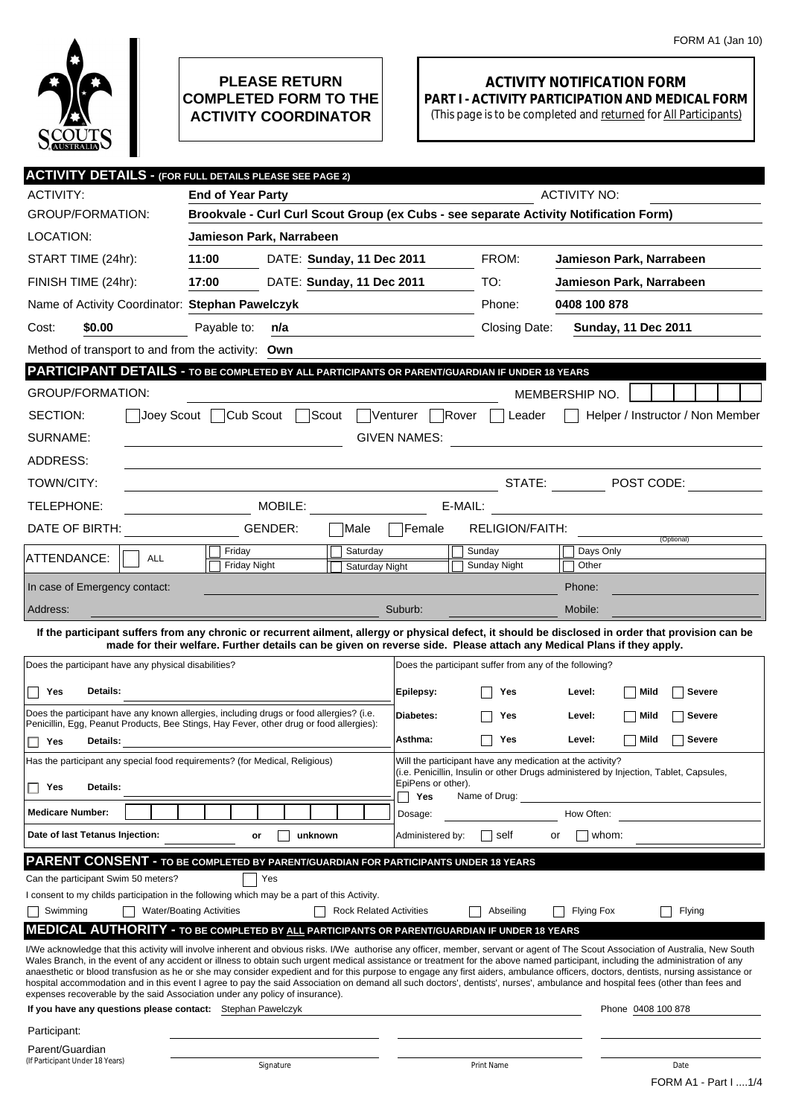

## **PLEASE RETURN COMPLETED FORM TO THE ACTIVITY COORDINATOR**

## **ACTIVITY NOTIFICATION FORM PART I - ACTIVITY PARTICIPATION AND MEDICAL FORM**

(This page is to be completed and returned for All Participants)

|                                                                                                | <b>ACTIVITY DETAILS - (FOR FULL DETAILS PLEASE SEE PAGE 2)</b>                                                                                                                     |                                |                                                           |                                                                                                                                                                                                                                                                                                                                                                        |  |  |  |
|------------------------------------------------------------------------------------------------|------------------------------------------------------------------------------------------------------------------------------------------------------------------------------------|--------------------------------|-----------------------------------------------------------|------------------------------------------------------------------------------------------------------------------------------------------------------------------------------------------------------------------------------------------------------------------------------------------------------------------------------------------------------------------------|--|--|--|
| <b>ACTIVITY:</b>                                                                               | <b>End of Year Party</b>                                                                                                                                                           |                                |                                                           | <b>ACTIVITY NO:</b>                                                                                                                                                                                                                                                                                                                                                    |  |  |  |
| <b>GROUP/FORMATION:</b>                                                                        | Brookvale - Curl Curl Scout Group (ex Cubs - see separate Activity Notification Form)                                                                                              |                                |                                                           |                                                                                                                                                                                                                                                                                                                                                                        |  |  |  |
| LOCATION:                                                                                      | Jamieson Park, Narrabeen                                                                                                                                                           |                                |                                                           |                                                                                                                                                                                                                                                                                                                                                                        |  |  |  |
| START TIME (24hr):                                                                             | 11:00<br>DATE: Sunday, 11 Dec 2011                                                                                                                                                 |                                | FROM:                                                     | Jamieson Park, Narrabeen                                                                                                                                                                                                                                                                                                                                               |  |  |  |
| FINISH TIME (24hr):                                                                            | 17:00<br>DATE: Sunday, 11 Dec 2011                                                                                                                                                 |                                | TO:                                                       | Jamieson Park, Narrabeen                                                                                                                                                                                                                                                                                                                                               |  |  |  |
| Name of Activity Coordinator: Stephan Pawelczyk                                                |                                                                                                                                                                                    |                                | Phone:                                                    | 0408 100 878                                                                                                                                                                                                                                                                                                                                                           |  |  |  |
| \$0.00<br>Cost:                                                                                | Payable to:<br>n/a                                                                                                                                                                 |                                | Closing Date:                                             | <b>Sunday, 11 Dec 2011</b>                                                                                                                                                                                                                                                                                                                                             |  |  |  |
| Method of transport to and from the activity: Own                                              |                                                                                                                                                                                    |                                |                                                           |                                                                                                                                                                                                                                                                                                                                                                        |  |  |  |
| PARTICIPANT DETAILS - TO BE COMPLETED BY ALL PARTICIPANTS OR PARENT/GUARDIAN IF UNDER 18 YEARS |                                                                                                                                                                                    |                                |                                                           |                                                                                                                                                                                                                                                                                                                                                                        |  |  |  |
| <b>GROUP/FORMATION:</b>                                                                        |                                                                                                                                                                                    |                                |                                                           | MEMBERSHIP NO.                                                                                                                                                                                                                                                                                                                                                         |  |  |  |
| SECTION:<br>Joev Scout                                                                         | Cub Scout<br>Scout                                                                                                                                                                 | Venturer                       | Rover<br>Leader                                           | Helper / Instructor / Non Member                                                                                                                                                                                                                                                                                                                                       |  |  |  |
| SURNAME:                                                                                       |                                                                                                                                                                                    | <b>GIVEN NAMES:</b>            |                                                           |                                                                                                                                                                                                                                                                                                                                                                        |  |  |  |
| ADDRESS:                                                                                       |                                                                                                                                                                                    |                                |                                                           |                                                                                                                                                                                                                                                                                                                                                                        |  |  |  |
| TOWN/CITY:                                                                                     |                                                                                                                                                                                    |                                |                                                           | STATE: $\blacksquare$ POST CODE:                                                                                                                                                                                                                                                                                                                                       |  |  |  |
| TELEPHONE:                                                                                     | MOBILE:                                                                                                                                                                            |                                | E-MAIL:                                                   |                                                                                                                                                                                                                                                                                                                                                                        |  |  |  |
| DATE OF BIRTH:                                                                                 | GENDER:                                                                                                                                                                            | <b>Female</b><br>lMale         | <b>RELIGION/FAITH:</b>                                    |                                                                                                                                                                                                                                                                                                                                                                        |  |  |  |
|                                                                                                | Friday                                                                                                                                                                             | Saturday                       | Sunday                                                    | (Optional)<br>Days Only                                                                                                                                                                                                                                                                                                                                                |  |  |  |
| ATTENDANCE:<br><b>ALL</b>                                                                      | <b>Friday Night</b>                                                                                                                                                                | Saturday Night                 | Sunday Night                                              | Other                                                                                                                                                                                                                                                                                                                                                                  |  |  |  |
| In case of Emergency contact:                                                                  |                                                                                                                                                                                    |                                |                                                           | Phone:                                                                                                                                                                                                                                                                                                                                                                 |  |  |  |
| Address:                                                                                       |                                                                                                                                                                                    | Suburb:                        |                                                           | Mobile:                                                                                                                                                                                                                                                                                                                                                                |  |  |  |
|                                                                                                | made for their welfare. Further details can be given on reverse side. Please attach any Medical Plans if they apply.                                                               |                                |                                                           | If the participant suffers from any chronic or recurrent ailment, allergy or physical defect, it should be disclosed in order that provision can be                                                                                                                                                                                                                    |  |  |  |
| Does the participant have any physical disabilities?                                           |                                                                                                                                                                                    |                                | Does the participant suffer from any of the following?    |                                                                                                                                                                                                                                                                                                                                                                        |  |  |  |
|                                                                                                |                                                                                                                                                                                    |                                |                                                           |                                                                                                                                                                                                                                                                                                                                                                        |  |  |  |
| Details:<br>Yes                                                                                |                                                                                                                                                                                    | Epilepsy:                      | Yes                                                       | Level:<br>Mild<br>Severe                                                                                                                                                                                                                                                                                                                                               |  |  |  |
|                                                                                                | Does the participant have any known allergies, including drugs or food allergies? (i.e.<br>Penicillin, Egg, Peanut Products, Bee Stings, Hay Fever, other drug or food allergies): | Diabetes:                      | Yes                                                       | <b>Severe</b><br>Level:<br>Mild                                                                                                                                                                                                                                                                                                                                        |  |  |  |
| Yes<br>Details:                                                                                |                                                                                                                                                                                    | Asthma:                        | Yes                                                       | Level:<br>Mild<br>Severe                                                                                                                                                                                                                                                                                                                                               |  |  |  |
| Has the participant any special food requirements? (for Medical, Religious)                    |                                                                                                                                                                                    |                                | Will the participant have any medication at the activity? | (i.e. Penicillin, Insulin or other Drugs administered by Injection, Tablet, Capsules,                                                                                                                                                                                                                                                                                  |  |  |  |
| <b>Details:</b><br>Yes                                                                         |                                                                                                                                                                                    | Yes                            | EpiPens or other).<br>Name of Drug:                       |                                                                                                                                                                                                                                                                                                                                                                        |  |  |  |
| <b>Medicare Number:</b>                                                                        |                                                                                                                                                                                    | Dosage:                        |                                                           | How Often:                                                                                                                                                                                                                                                                                                                                                             |  |  |  |
| Date of last Tetanus Injection:                                                                | unknown<br>or                                                                                                                                                                      |                                | Administered by:<br>self                                  | whom:<br>or                                                                                                                                                                                                                                                                                                                                                            |  |  |  |
|                                                                                                | PARENT CONSENT - TO BE COMPLETED BY PARENT/GUARDIAN FOR PARTICIPANTS UNDER 18 YEARS                                                                                                |                                |                                                           |                                                                                                                                                                                                                                                                                                                                                                        |  |  |  |
| Can the participant Swim 50 meters?                                                            | Yes                                                                                                                                                                                |                                |                                                           |                                                                                                                                                                                                                                                                                                                                                                        |  |  |  |
|                                                                                                | I consent to my childs participation in the following which may be a part of this Activity.                                                                                        |                                |                                                           |                                                                                                                                                                                                                                                                                                                                                                        |  |  |  |
| Swimming                                                                                       | <b>Water/Boating Activities</b>                                                                                                                                                    | <b>Rock Related Activities</b> | Abseiling                                                 | <b>Flying Fox</b><br>Flying                                                                                                                                                                                                                                                                                                                                            |  |  |  |
|                                                                                                | <b>MEDICAL AUTHORITY - TO BE COMPLETED BY ALL PARTICIPANTS OR PARENT/GUARDIAN IF UNDER 18 YEARS</b>                                                                                |                                |                                                           | I/We acknowledge that this activity will involve inherent and obvious risks. I/We authorise any officer, member, servant or agent of The Scout Association of Australia, New South                                                                                                                                                                                     |  |  |  |
|                                                                                                |                                                                                                                                                                                    |                                |                                                           | Wales Branch, in the event of any accident or illness to obtain such urgent medical assistance or treatment for the above named participant, including the administration of any<br>anaesthetic or blood transfusion as he or she may consider expedient and for this purpose to engage any first aiders, ambulance officers, doctors, dentists, nursing assistance or |  |  |  |
|                                                                                                |                                                                                                                                                                                    |                                |                                                           | hospital accommodation and in this event I agree to pay the said Association on demand all such doctors', dentists', nurses', ambulance and hospital fees (other than fees and                                                                                                                                                                                         |  |  |  |
| If you have any questions please contact: Stephan Pawelczyk                                    | expenses recoverable by the said Association under any policy of insurance).                                                                                                       |                                |                                                           | Phone 0408 100 878                                                                                                                                                                                                                                                                                                                                                     |  |  |  |
| Participant:                                                                                   |                                                                                                                                                                                    |                                |                                                           |                                                                                                                                                                                                                                                                                                                                                                        |  |  |  |
| Parent/Guardian                                                                                |                                                                                                                                                                                    |                                |                                                           |                                                                                                                                                                                                                                                                                                                                                                        |  |  |  |
| (If Participant Under 18 Years)                                                                | Signature                                                                                                                                                                          |                                | Print Name                                                | Date                                                                                                                                                                                                                                                                                                                                                                   |  |  |  |
|                                                                                                |                                                                                                                                                                                    |                                |                                                           | FORM A1 - Part I 1/4                                                                                                                                                                                                                                                                                                                                                   |  |  |  |